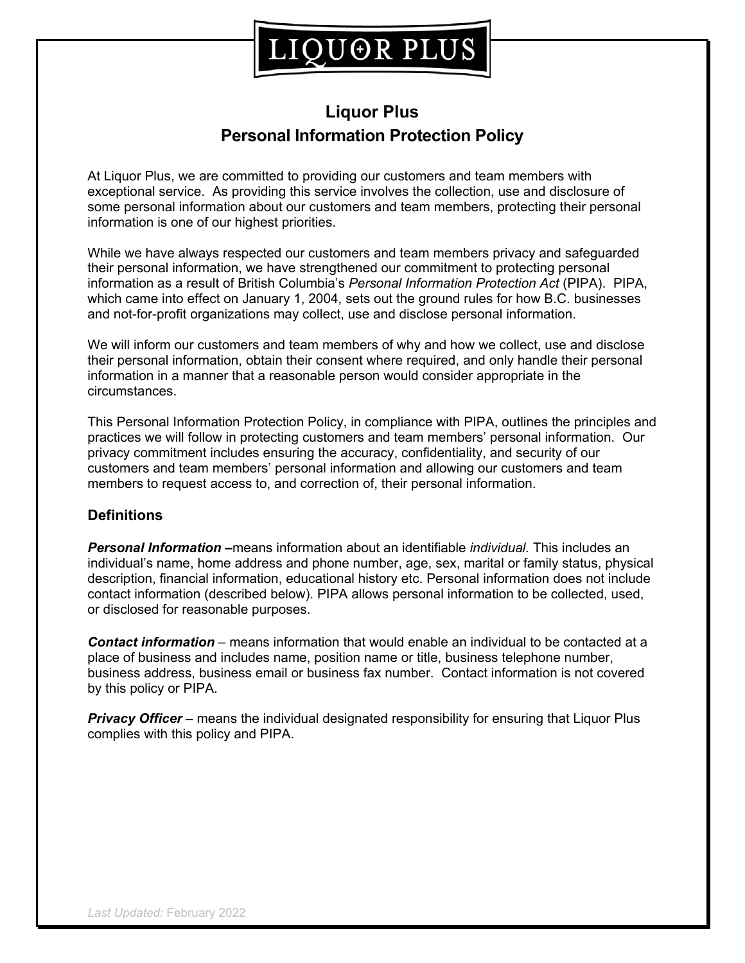## IQUOR PLUS

### **Liquor Plus Personal Information Protection Policy**

At Liquor Plus, we are committed to providing our customers and team members with exceptional service. As providing this service involves the collection, use and disclosure of some personal information about our customers and team members, protecting their personal information is one of our highest priorities.

While we have always respected our customers and team members privacy and safeguarded their personal information, we have strengthened our commitment to protecting personal information as a result of British Columbia's *Personal Information Protection Act* (PIPA). PIPA, which came into effect on January 1, 2004, sets out the ground rules for how B.C. businesses and not-for-profit organizations may collect, use and disclose personal information.

We will inform our customers and team members of why and how we collect, use and disclose their personal information, obtain their consent where required, and only handle their personal information in a manner that a reasonable person would consider appropriate in the circumstances.

This Personal Information Protection Policy, in compliance with PIPA, outlines the principles and practices we will follow in protecting customers and team members' personal information. Our privacy commitment includes ensuring the accuracy, confidentiality, and security of our customers and team members' personal information and allowing our customers and team members to request access to, and correction of, their personal information.

#### **Definitions**

*Personal Information –*means information about an identifiable *individual.* This includes an individual's name, home address and phone number, age, sex, marital or family status, physical description, financial information, educational history etc. Personal information does not include contact information (described below). PIPA allows personal information to be collected, used, or disclosed for reasonable purposes.

*Contact information* – means information that would enable an individual to be contacted at a place of business and includes name, position name or title, business telephone number, business address, business email or business fax number. Contact information is not covered by this policy or PIPA.

*Privacy Officer* – means the individual designated responsibility for ensuring that Liquor Plus complies with this policy and PIPA.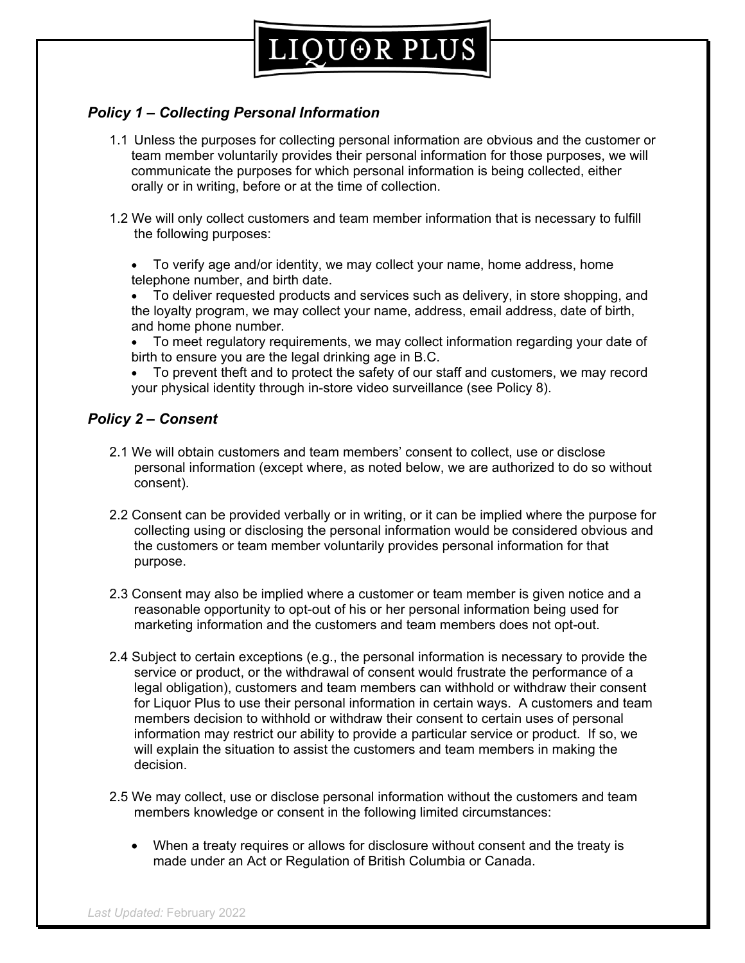### *Policy 1 – Collecting Personal Information*

- 1.1 Unless the purposes for collecting personal information are obvious and the customer or team member voluntarily provides their personal information for those purposes, we will communicate the purposes for which personal information is being collected, either orally or in writing, before or at the time of collection.
- 1.2 We will only collect customers and team member information that is necessary to fulfill the following purposes:
	- To verify age and/or identity, we may collect your name, home address, home telephone number, and birth date.
	- To deliver requested products and services such as delivery, in store shopping, and the loyalty program, we may collect your name, address, email address, date of birth, and home phone number.
	- To meet regulatory requirements, we may collect information regarding your date of birth to ensure you are the legal drinking age in B.C.
	- To prevent theft and to protect the safety of our staff and customers, we may record your physical identity through in-store video surveillance (see Policy 8).

### *Policy 2 – Consent*

- 2.1 We will obtain customers and team members' consent to collect, use or disclose personal information (except where, as noted below, we are authorized to do so without consent).
- 2.2 Consent can be provided verbally or in writing, or it can be implied where the purpose for collecting using or disclosing the personal information would be considered obvious and the customers or team member voluntarily provides personal information for that purpose.
- 2.3 Consent may also be implied where a customer or team member is given notice and a reasonable opportunity to opt-out of his or her personal information being used for marketing information and the customers and team members does not opt-out.
- 2.4 Subject to certain exceptions (e.g., the personal information is necessary to provide the service or product, or the withdrawal of consent would frustrate the performance of a legal obligation), customers and team members can withhold or withdraw their consent for Liquor Plus to use their personal information in certain ways. A customers and team members decision to withhold or withdraw their consent to certain uses of personal information may restrict our ability to provide a particular service or product. If so, we will explain the situation to assist the customers and team members in making the decision.
- 2.5 We may collect, use or disclose personal information without the customers and team members knowledge or consent in the following limited circumstances:
	- When a treaty requires or allows for disclosure without consent and the treaty is made under an Act or Regulation of British Columbia or Canada.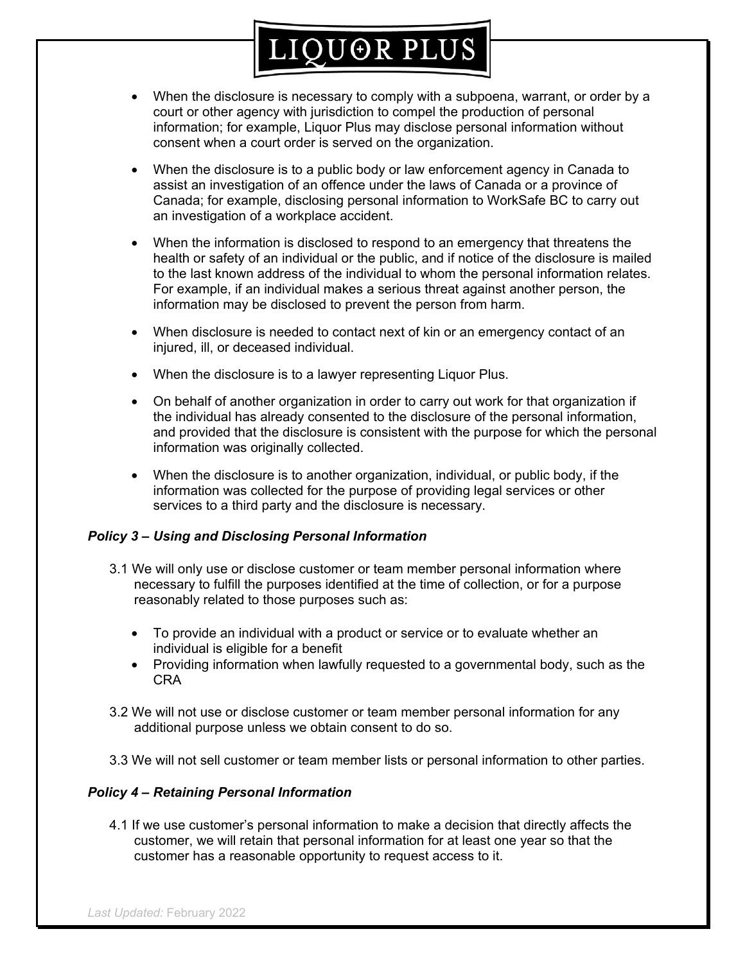# LIQUOR PLUS

- When the disclosure is necessary to comply with a subpoena, warrant, or order by a court or other agency with jurisdiction to compel the production of personal information; for example, Liquor Plus may disclose personal information without consent when a court order is served on the organization.
- When the disclosure is to a public body or law enforcement agency in Canada to assist an investigation of an offence under the laws of Canada or a province of Canada; for example, disclosing personal information to WorkSafe BC to carry out an investigation of a workplace accident.
- When the information is disclosed to respond to an emergency that threatens the health or safety of an individual or the public, and if notice of the disclosure is mailed to the last known address of the individual to whom the personal information relates. For example, if an individual makes a serious threat against another person, the information may be disclosed to prevent the person from harm.
- When disclosure is needed to contact next of kin or an emergency contact of an injured, ill, or deceased individual.
- When the disclosure is to a lawyer representing Liquor Plus.
- On behalf of another organization in order to carry out work for that organization if the individual has already consented to the disclosure of the personal information, and provided that the disclosure is consistent with the purpose for which the personal information was originally collected.
- When the disclosure is to another organization, individual, or public body, if the information was collected for the purpose of providing legal services or other services to a third party and the disclosure is necessary.

#### *Policy 3 – Using and Disclosing Personal Information*

- 3.1 We will only use or disclose customer or team member personal information where necessary to fulfill the purposes identified at the time of collection, or for a purpose reasonably related to those purposes such as:
	- To provide an individual with a product or service or to evaluate whether an individual is eligible for a benefit
	- Providing information when lawfully requested to a governmental body, such as the CRA
- 3.2 We will not use or disclose customer or team member personal information for any additional purpose unless we obtain consent to do so.
- 3.3 We will not sell customer or team member lists or personal information to other parties.

#### *Policy 4 – Retaining Personal Information*

4.1 If we use customer's personal information to make a decision that directly affects the customer, we will retain that personal information for at least one year so that the customer has a reasonable opportunity to request access to it.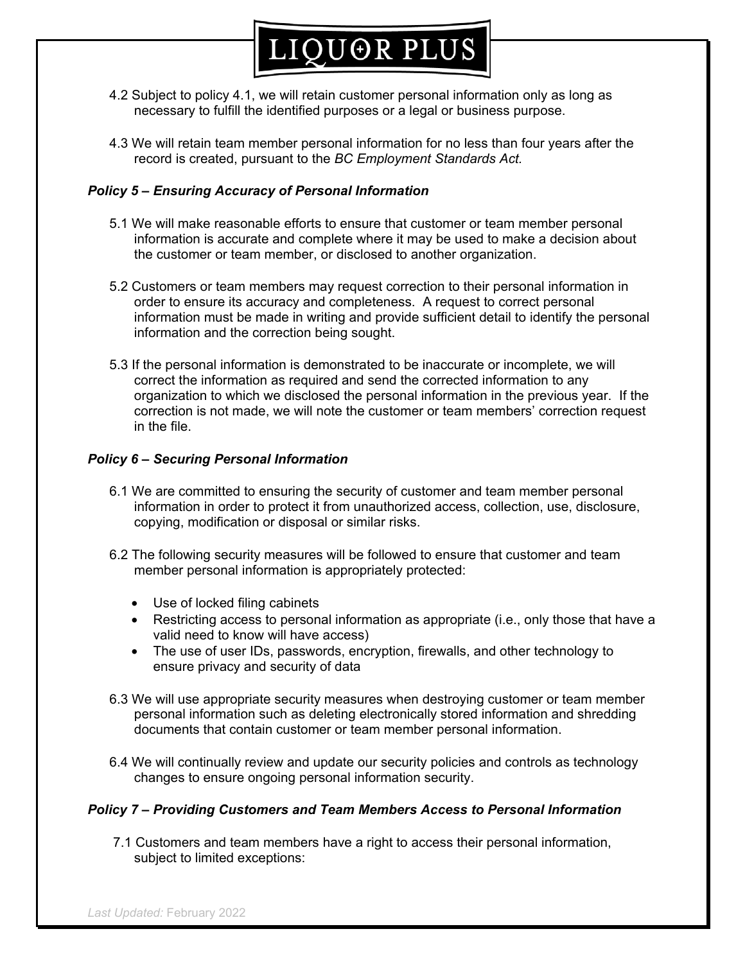

- 4.2 Subject to policy 4.1, we will retain customer personal information only as long as necessary to fulfill the identified purposes or a legal or business purpose.
- 4.3 We will retain team member personal information for no less than four years after the record is created, pursuant to the *BC Employment Standards Act.*

#### *Policy 5 – Ensuring Accuracy of Personal Information*

- 5.1 We will make reasonable efforts to ensure that customer or team member personal information is accurate and complete where it may be used to make a decision about the customer or team member, or disclosed to another organization.
- 5.2 Customers or team members may request correction to their personal information in order to ensure its accuracy and completeness. A request to correct personal information must be made in writing and provide sufficient detail to identify the personal information and the correction being sought.
- 5.3 If the personal information is demonstrated to be inaccurate or incomplete, we will correct the information as required and send the corrected information to any organization to which we disclosed the personal information in the previous year. If the correction is not made, we will note the customer or team members' correction request in the file.

#### *Policy 6 – Securing Personal Information*

- 6.1 We are committed to ensuring the security of customer and team member personal information in order to protect it from unauthorized access, collection, use, disclosure, copying, modification or disposal or similar risks.
- 6.2 The following security measures will be followed to ensure that customer and team member personal information is appropriately protected:
	- Use of locked filing cabinets
	- Restricting access to personal information as appropriate (i.e., only those that have a valid need to know will have access)
	- The use of user IDs, passwords, encryption, firewalls, and other technology to ensure privacy and security of data
- 6.3 We will use appropriate security measures when destroying customer or team member personal information such as deleting electronically stored information and shredding documents that contain customer or team member personal information.
- 6.4 We will continually review and update our security policies and controls as technology changes to ensure ongoing personal information security.

#### *Policy 7 – Providing Customers and Team Members Access to Personal Information*

 7.1 Customers and team members have a right to access their personal information, subject to limited exceptions: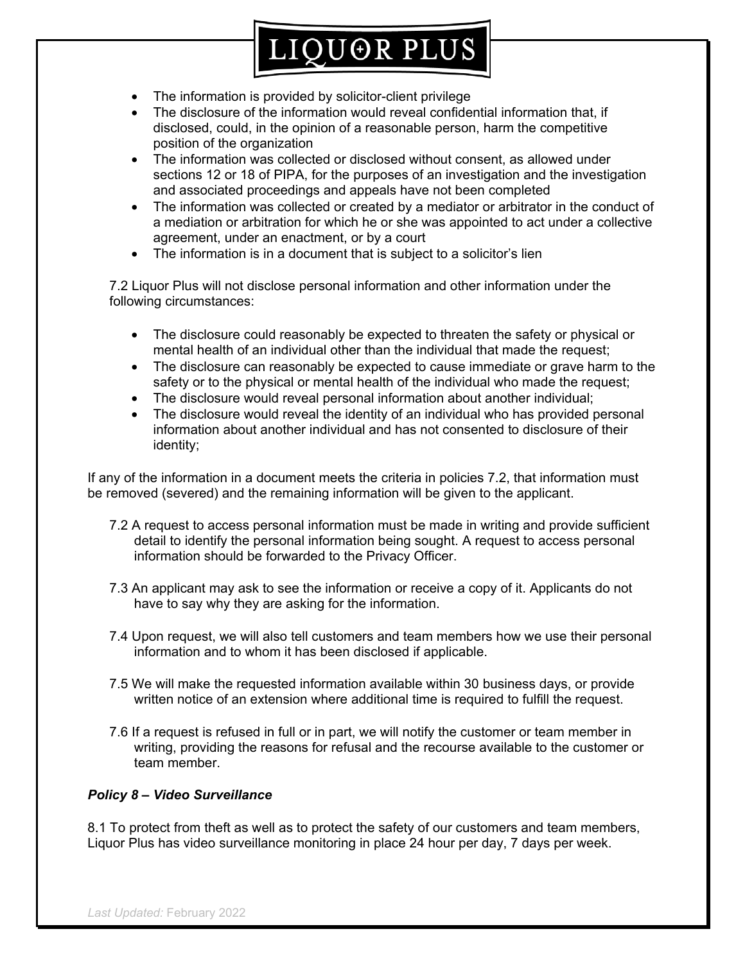

- The information is provided by solicitor-client privilege
- The disclosure of the information would reveal confidential information that, if disclosed, could, in the opinion of a reasonable person, harm the competitive position of the organization
- The information was collected or disclosed without consent, as allowed under sections 12 or 18 of PIPA, for the purposes of an investigation and the investigation and associated proceedings and appeals have not been completed
- The information was collected or created by a mediator or arbitrator in the conduct of a mediation or arbitration for which he or she was appointed to act under a collective agreement, under an enactment, or by a court
- The information is in a document that is subject to a solicitor's lien

7.2 Liquor Plus will not disclose personal information and other information under the following circumstances:

- The disclosure could reasonably be expected to threaten the safety or physical or mental health of an individual other than the individual that made the request;
- The disclosure can reasonably be expected to cause immediate or grave harm to the safety or to the physical or mental health of the individual who made the request;
- The disclosure would reveal personal information about another individual;
- The disclosure would reveal the identity of an individual who has provided personal information about another individual and has not consented to disclosure of their identity;

If any of the information in a document meets the criteria in policies 7.2, that information must be removed (severed) and the remaining information will be given to the applicant.

- 7.2 A request to access personal information must be made in writing and provide sufficient detail to identify the personal information being sought. A request to access personal information should be forwarded to the Privacy Officer.
- 7.3 An applicant may ask to see the information or receive a copy of it. Applicants do not have to say why they are asking for the information.
- 7.4 Upon request, we will also tell customers and team members how we use their personal information and to whom it has been disclosed if applicable.
- 7.5 We will make the requested information available within 30 business days, or provide written notice of an extension where additional time is required to fulfill the request.
- 7.6 If a request is refused in full or in part, we will notify the customer or team member in writing, providing the reasons for refusal and the recourse available to the customer or team member.

#### *Policy 8 – Video Surveillance*

8.1 To protect from theft as well as to protect the safety of our customers and team members, Liquor Plus has video surveillance monitoring in place 24 hour per day, 7 days per week.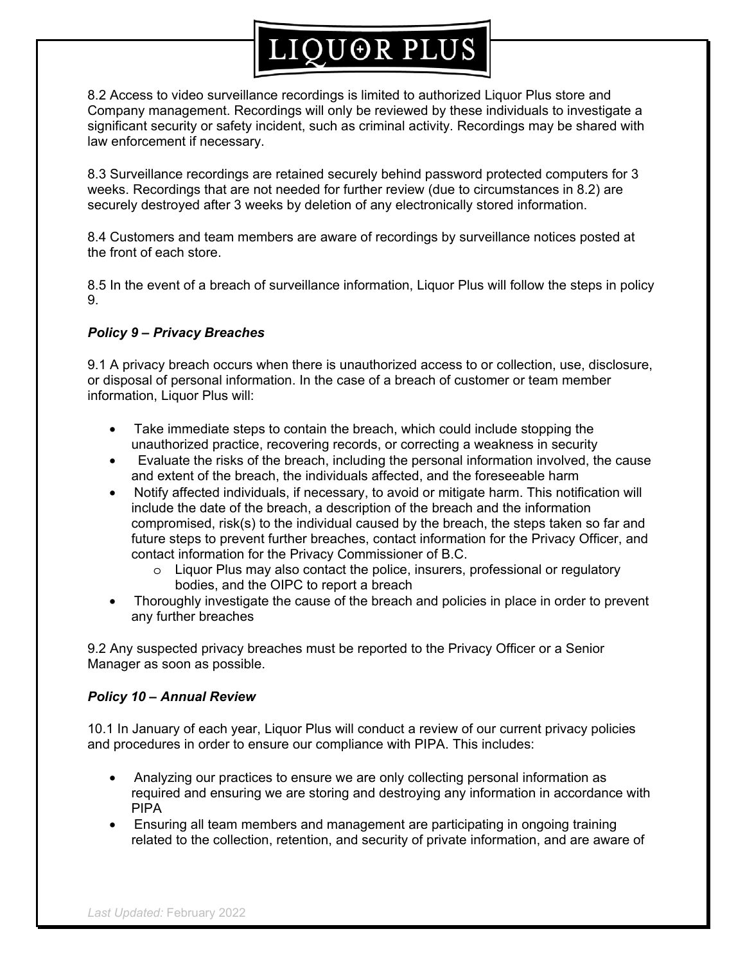# LIQUOR PLUS

8.2 Access to video surveillance recordings is limited to authorized Liquor Plus store and Company management. Recordings will only be reviewed by these individuals to investigate a significant security or safety incident, such as criminal activity. Recordings may be shared with law enforcement if necessary.

8.3 Surveillance recordings are retained securely behind password protected computers for 3 weeks. Recordings that are not needed for further review (due to circumstances in 8.2) are securely destroyed after 3 weeks by deletion of any electronically stored information.

8.4 Customers and team members are aware of recordings by surveillance notices posted at the front of each store.

8.5 In the event of a breach of surveillance information, Liquor Plus will follow the steps in policy 9.

#### *Policy 9 – Privacy Breaches*

9.1 A privacy breach occurs when there is unauthorized access to or collection, use, disclosure, or disposal of personal information. In the case of a breach of customer or team member information, Liquor Plus will:

- Take immediate steps to contain the breach, which could include stopping the unauthorized practice, recovering records, or correcting a weakness in security
- Evaluate the risks of the breach, including the personal information involved, the cause and extent of the breach, the individuals affected, and the foreseeable harm
- Notify affected individuals, if necessary, to avoid or mitigate harm. This notification will include the date of the breach, a description of the breach and the information compromised, risk(s) to the individual caused by the breach, the steps taken so far and future steps to prevent further breaches, contact information for the Privacy Officer, and contact information for the Privacy Commissioner of B.C.
	- $\circ$  Liquor Plus may also contact the police, insurers, professional or regulatory bodies, and the OIPC to report a breach
- Thoroughly investigate the cause of the breach and policies in place in order to prevent any further breaches

9.2 Any suspected privacy breaches must be reported to the Privacy Officer or a Senior Manager as soon as possible.

#### *Policy 10 – Annual Review*

10.1 In January of each year, Liquor Plus will conduct a review of our current privacy policies and procedures in order to ensure our compliance with PIPA. This includes:

- Analyzing our practices to ensure we are only collecting personal information as required and ensuring we are storing and destroying any information in accordance with PIPA
- Ensuring all team members and management are participating in ongoing training related to the collection, retention, and security of private information, and are aware of